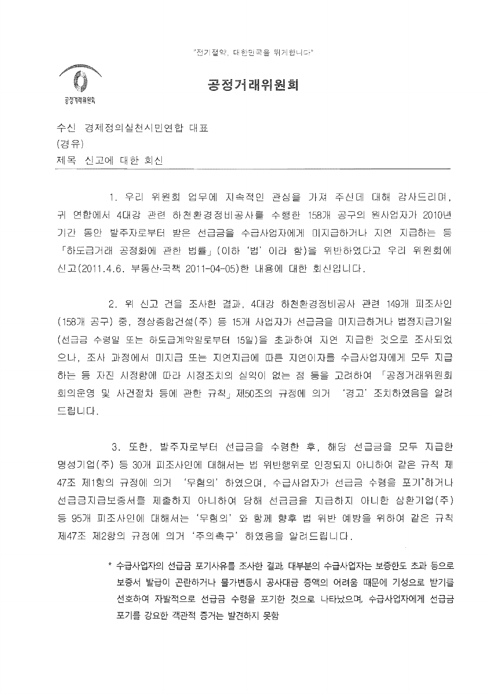

## 공정거래위원회

수신 경제정의실천시민연합 대표 (경유) 제목 신고에 대한 회신

1. 우리 위원회 업무에 지속적인 관심을 가져 주신데 대해 감사드리며, 귀 연합에서 4대강 관련 하천환경정비공사를 수행한 158개 공구의 원사업자가 2010년 기간 동안 발주자로부터 받은 선급금을 수급사업자에게 미지급하거나 지연 지급하는 등 「하도급거래 공정화에 관한 법률」(이하'법'이라 함)을 위반하였다고 우리 위원회에 신고(2011.4.6. 부동산·국책 2011-04-05)한 내용에 대한 회신입니다.

2. 위 신고 건을 조사한 결과, 4대강 하천환경정비공사 관련 149개 피조사인 (158개 공구) 중, 정상종합건설(주) 등 15개 사업자가 선급금을 미지급하거나 법정지급기일 (선급금 수령일 또는 하도급계약일로부터 15일)을 초과하여 지연 지급한 것으로 조사되었 으나, 조사 과정에서 미지급 또는 지연지급에 따른 지연이자를 수급사업자에게 모두 지급 하는 등 자진 시정함에 따라 시정조치의 실익이 없는 점 등을 고려하여 「공정거래위원회 회의운영 및 사건절차 등에 관한 규칙 제50조의 규정에 의거 '경고' 조치하였음을 알려 드립니다.

3. 또한, 발주자로부터 선급금을 수령한 후, 해당 선급금을 모두 지급한 명성기업(주) 등 30개 피조사인에 대해서는 법 위반행위로 인정되지 아니하여 같은 규칙 제 47조 제1항의 규정에 의거 '무혐의'하였으며, 수급사업자가 선급금 수령을 포기'하거나 선급금지급보증서를 제출하지 아니하여 당해 선급금을 지급하지 아니한 삼환기업(주) 등 95개 피조사인에 대해서는'무혐의'와 함께 향후 법 위반 예방을 위하여 같은 규칙 제47조 제2항의 규정에 의거'주의촉구'하였음을 알려드립니다.

> \* 수급사업자의 선급금 포기사유를 조사한 결과, 대부분의 수급사업자는 보증한도 초과 등으로 보증서 발급이 곤란하거나 물가변동시 공사대금 증액의 어려움 때문에 기성으로 받기를 선호하여 자발적으로 선급금 수령을 포기한 것으로 나타났으며, 수급사업자에게 선급금 포기를 강요한 객관적 증거는 발견하지 못함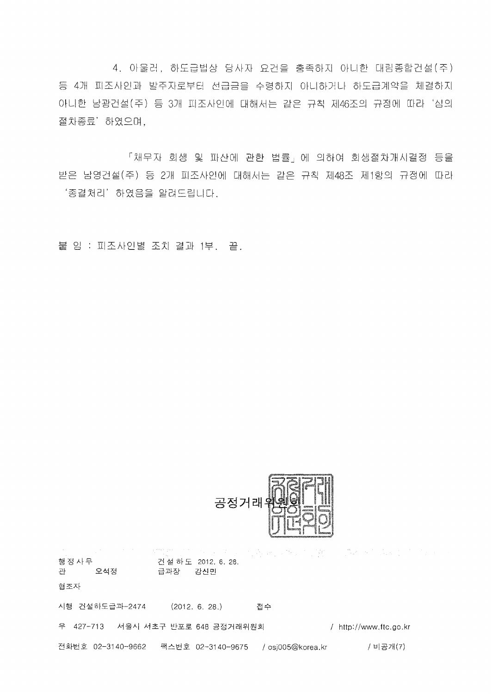4. 아울러, 하도급법상 당사자 요건을 충족하지 아니한 대림종합건설(주) 등 4개 피조사인과 발주자로부터 선급금을 수령하지 아니하거나 하도급계약을 체결하지 아니한 남광건설(주) 등 3개 피조사인에 대해서는 <mark>같은 규칙 제46조의 규정에 따라</mark> '심의 ,<br>하였으며,

「채무자 회생 및 파산에 관한 법률」에 의하여 회생절차개시결정 등을 받은 남영건설(주) 등 2개 피조사인에 대해서는 같은 규칙 제48조 제1항의 규정에 따라 '종결처리' 하였음을 알려드립니다.

붙 임 : 피조사인별 조치 결과 1부. \_ 끝.



しきといわる 同業 こうきょうじょうこうしょう 행정사무 건설하도 2012. 6. 28. 관 오석정 급과장 강신민 협조자 시행 건설하도급과-2474 (2012. 6. 28.) 접수 우 427-713 서울시 서초구 반포로 648 공정거래위원회 (http://www.ftc.go.kr 전화번호 02-3140-9662 팩스번호 02-3140-9675 /osj005@korea.kr / 비공개(7)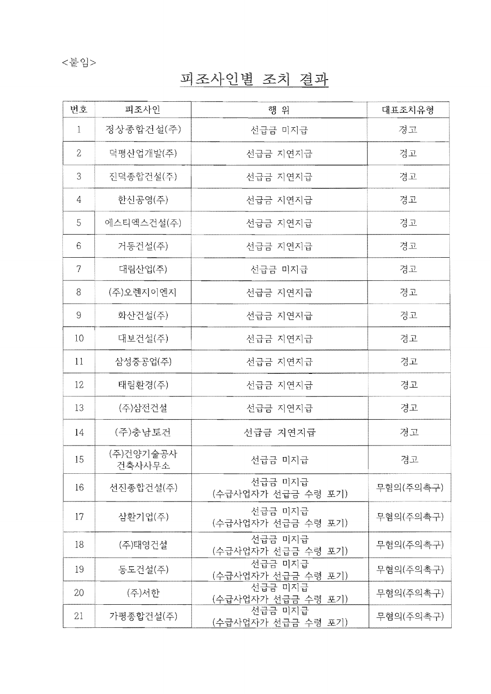## <붙임>

## 피조사인별 조치 결과

| 번호             | 피조사인                | 행 위                           | 대표조치유형    |
|----------------|---------------------|-------------------------------|-----------|
| $\mathbf{1}$   | 정상종합건설(주)           | 선급금 미지급                       | 경고        |
| $\overline{2}$ | 덕평산업개발(주)           | 선급금 지연지급                      | 경고        |
| 3              | 진덕종합건설(주)           | 선급금 지연지급                      | 경고        |
| 4              | 한신공영(주)             | 선급금 지연지급                      | 경고        |
| 5              | 에스티엑스건설(주)          | 선급금 지연지급                      | 경고        |
| 6              | 거동건설(주)             | 선급금 지연지급                      | 경고        |
| 7              | 대림산업(주)             | 선급금 미지급                       | 경고        |
| 8              | (주)오렌지이엔지           | 선급금 지연지급                      | 경고        |
| 9              | 화산건설(주)             | 선급금 지연지급                      | 경고        |
| 10             | 대보건설(주)             | 선급금 지연지급                      | 경고        |
| 11             | 삼성중공업(주)            | 선급금 지연지급                      | 경고        |
| 12             | 태림환경(주)             | 선급금 지연지급                      | 경고        |
| 13             | (주)삼전건설             | 선급금 지연지급                      | 경고        |
| 14             | (주)충남토건             | 선급금 지연지급                      | 경고        |
| 15             | (주)건양기술공사<br>건축사사무소 | 선급금 미지급                       | 경고        |
| 16             | 선진종합건설(주)           | 선급금 미지급<br>(수급사업자가 선급금 수령 포기) | 무혐의(주의촉구) |
| 17             | 삼환기업(주)             | 선급금 미지급<br>(수급사업자가 선급금 수령 포기) | 무혐의(주의촉구) |
| 18             | (주)태영건설             | 선급금 미지급<br>(수급사업자가 선급금 수령 포기) | 무혐의(주의촉구) |
| 19             | 동도건설(주)             | 선급금 미지급<br>(수급사업자가 선급금 수령 포기) | 무혐의(주의촉구) |
| 20             | (주)서한               | 선급금 미지급<br>(수급사업자가 선급금 수령 포기) | 무혐의(주의촉구) |
| 21             | 가평종합건설(주)           | 선급금 미지급<br>(수급사업자가 선급금 수령 포기) | 무혐의(주의촉구) |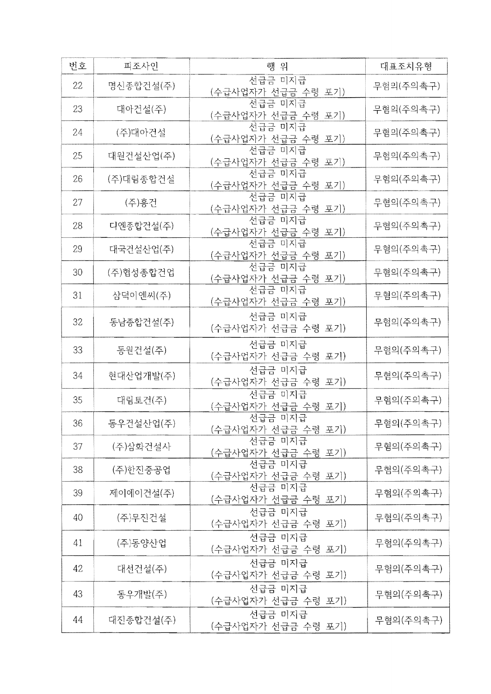| 번호 | 피조사인      | 행 위                                  | 대표조치유형    |
|----|-----------|--------------------------------------|-----------|
| 22 | 명신종합건설(주) | 선급금 미지급<br>(수급사업자가 선급금 수령 포기)        | 무혐의(주의촉구) |
| 23 | 대아건설(주)   | 선급금 미지급<br>(수급사업자가 선급금 수령 포기)        | 무혐의(주의촉구) |
| 24 | (주)대아건설   | 선급금 미지급<br>(수급사업자가 선급금 수령 포기)        | 무혐의(주의촉구) |
| 25 | 대원건설산업(주) | 선급금 미지급<br><u>(수급사업자가 선급금 수령 포기)</u> | 무혐의(주의촉구) |
| 26 | (주)대림종합건설 | 선급금 미지급<br>(수급사업자가 선급금 수령 포기)        | 무혐의(주의촉구) |
| 27 | (주)흥건     | 선급금 미지급<br>(수급사업자가 선급금 수령 포기)        | 무혐의(주의촉구) |
| 28 | 디엔종합건설(주) | 선급금 미지급<br>(수급사업자가 선급금 수령 포기)        | 무혐의(주의촉구) |
| 29 | 대국건설산업(주) | 선급금 미지급<br>(수급사업자가 선급금 수령 포기)        | 무혐의(주의촉구) |
| 30 | (주)협성종합건업 | 선급금 미지급<br>(수급사업자가 선급금 수령 포기)        | 무혐의(주의촉구) |
| 31 | 삼덕이엔씨(주)  | 선급금 미지급<br>(수급사업자가 선급금 수령 포기)        | 무혐의(주의촉구) |
| 32 | 동남종합건설(주) | 선급금 미지급<br>(수급사업자가 선급금 수령 포기)        | 무혐의(주의촉구) |
| 33 | 동원건설(주)   | 선급금 미지급<br>(수급사업자가 선급금 수령 포기)        | 무혐의(주의촉구) |
| 34 | 현대산업개발(주) | 선급금 미지급<br>(수급사업자가 선급금 수령 포기)        | 무혐의(주의촉구) |
| 35 | 대림토건(주)   | 선급금 미지급<br>(수급사업자가 선급금 수령 포기)        | 무혐의(주의촉구) |
| 36 | 동우건설산업(주) | 선급금 미지급<br>(수급사업자가 선급금 수령 포기)        | 무혐의(주의촉구) |
| 37 | (주)삼화건설사  | 선급금 미지급<br><u>(수급사업자가 선급금 수령 포기)</u> | 무혐의(주의촉구) |
| 38 | (주)한진중공업  | 선급금 미지급<br>(수급사업자가 선급금 수령 포기)        | 무혐의(주의촉구) |
| 39 | 제이에이거설(주) | 선급금 미지급<br>(수급사업자가 선급금 수령 포기)        | 무혐의(주의촉구) |
| 40 | (주)무진건설   | 선급금 미지급<br>(수급사업자가 선급금 수령 포기)        | 무혐의(주의촉구) |
| 41 | (주)동양산업   | 선급금 미지급<br>(수급사업자가 선급금 수령 포기)        | 무혐의(주의촉구) |
| 42 | 대선건설(주)   | 선급금 미지급<br>(수급사업자가 선급금 수령 포기)        | 무혐의(주의촉구) |
| 43 | 동우개발(주)   | 선급금 미지급<br>(수급사업자가 선급금 수령 포기)        | 무혐의(주의촉구) |
| 44 | 대진종합건설(주) | 선급금 미지급<br>(수급사업자가 선급금 수령 포기)        | 무혐의(주의촉구) |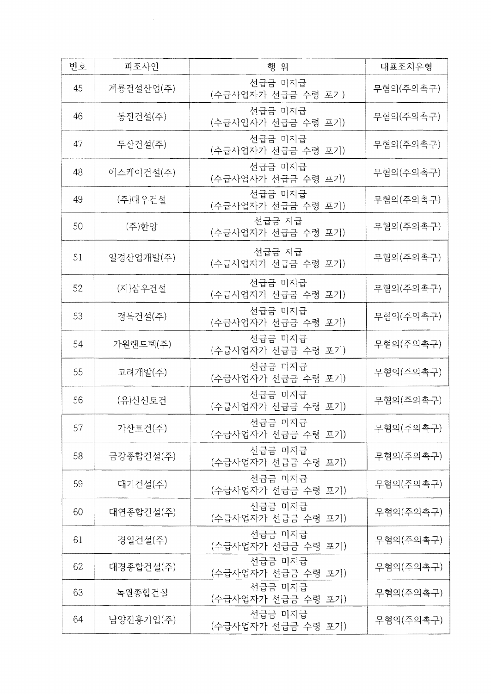| 번호 | 피조사인      | 행 위                           | 대표조치유형    |
|----|-----------|-------------------------------|-----------|
| 45 | 계룡건설산업(주) | 선급금 미지급<br>(수급사업자가 선급금 수령 포기) | 무혐의(주의촉구) |
| 46 | 동진건설(주)   | 선급금 미지급<br>(수급사업자가 선급금 수령 포기) | 무혐의(주의촉구) |
| 47 | 두산건설(주)   | 선급금 미지급<br>(수급사업자가 선급금 수령 포기) | 무혐의(주의촉구) |
| 48 | 에스케이건설(주) | 선급금 미지금<br>(수급사업자가 선급금 수령 포기) | 무혐의(주의촉구) |
| 49 | (주)대우건설   | 선급금 미지급<br>(수급사업자가 선급금 수령 포기) | 무혐의(주의촉구) |
| 50 | (주)한양     | 선급금 지급<br>(수급사업자가 선급금 수령 포기)  | 무혐의(주의촉구) |
| 51 | 일경산업개발(주) | 선급금 지급<br>(수급사업자가 선급금 수령 포기)  | 무혐의(주의촉구) |
| 52 | (자)삼우건설   | 선급금 미지급<br>(수급사업자가 선급금 수령 포기) | 무혐의(주의촉구) |
| 53 | 경복건설(주)   | 선급금 미지급<br>(수급사업자가 선급금 수령 포기) | 무혐의(주의촉구) |
| 54 | 가원랜드텍(주)  | 선급금 미지급<br>(수급사업자가 선급금 수령 포기) | 무혐의(주의촉구) |
| 55 | 고려개발(주)   | 선급금 미지급<br>(수급사업자가 선급금 수령 포기) | 무혐의(주의촉구) |
| 56 | (유)신신토건   | 선급금 미지급<br>(수급사업자가 선급금 수령 포기) | 무혐의(주의촉구) |
| 57 | 가산토건(주)   | 선급금 미지급<br>(수급사업자가 선급금 수령 포기) | 무혐의(주의촉구) |
| 58 | 금강종합건설(주) | 선급금 미지급<br>(수급사업자가 선급금 수령 포기) | 무혐의(주의촉구) |
| 59 | 대기건설(주)   | 선급금 미지급<br>(수급사업자가 선급금 수령 포기) | 무혐의(주의촉구) |
| 60 | 대연종합건설(주) | 선급금 미지급<br>(수급사업자가 선급금 수령 포기) | 무혐의(주의촉구) |
| 61 | 경일건설(주)   | 선급금 미지급<br>(수급사업자가 선급금 수령 포기) | 무혐의(주의촉구) |
| 62 | 대경종합건설(주) | 선급금 미지급<br>(수급사업자가 선급금 수령 포기) | 무혐의(주의촉구) |
| 63 | 녹원종합건설    | 선급금 미지급<br>(수급사업자가 선급금 수령 포기) | 무혐의(주의촉구) |
| 64 | 남양진흥기업(주) | 선급금 미지급<br>(수급사업자가 선급금 수령 포기) | 무혐의(주의촉구) |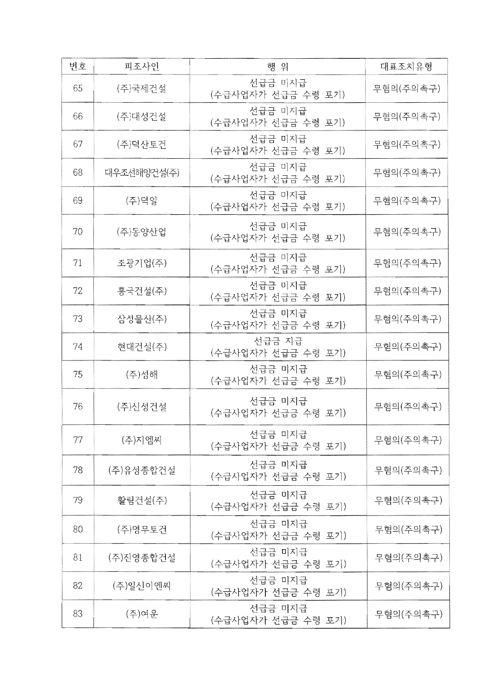| 버호  | 피조사인        | 행 위                           | 대표조치유형    |
|-----|-------------|-------------------------------|-----------|
| 65  | (주)국제건설     | 선급금 미지급<br>(수급사업자가 선급금 수령 포기) | 무혐의(주의촉구) |
| -66 | (주)대성건설     | 선급금 미지급<br>(수급사업자가 선급금 수령 포기) | 무혐의(주의촉구) |
| 67  | (주)덕산토건     | 선급금 미지급<br>(수급사업자가 선급금 수령 포기) | 무혐의(주의촉구) |
| 68  | 대우조선해양건설(주) | 선급금 미지급<br>(수급사업자가 선급금 수령 포기) | 무혐의(주의촉구) |
| 69  | (주)덕일       | 선급금 미지급<br>(수급사업자가 선급금 수령 포기) | 무혐의(주의촉구) |
| 70  | (주)동양산업     | 선급금 미지급<br>(수급사업자가 선급금 수령 포기) | 무혐의(주의촉구) |
| 71  | 조광기업(주)     | 선급금 미지급<br>(수급사업자가 선급금 수령 포기) | 무혐의(주의촉구) |
| 72  | 흥국건설(주)     | 선급금 미지급<br>(수급사업자가 선급금 수령 포기) | 무혐의(주의촉구) |
| 73  | 삼성물산(주)     | 선급금 미지급<br>(수급사업자가 선급금 수령 포기) | 무혐의(주의촉구) |
| 74  | 현대건설(주)     | 선급금 지급<br>(수급사업자가 선급금 수령 포기)  | 무혐의(주의촉구) |
| 75  | (주)성해       | 선급금 미지급<br>(수급사업자가 선급금 수령 포기) | 무혐의(주의촉구) |
| 76  | (주)신성건설     | 선급금 미지급<br>(수급사업자가 선급금 수령 포기) | 무혐의(주의촉구) |
| 77  | (주)지엠씨      | 선급금 미지급<br>(수급사업자가 선급금 수령 포기) | 무혐의(주의촉구) |
| 78  | (주)유성종합건설   | 선급금 미지급<br>(수급사업자가 선급금 수령 포기) | 무혐의(주의촉구) |
| 79  | 활림건설(주)     | 선급금 미지급<br>(수급사업자가 선급금 수령 포기) | 무혐의(주의촉구) |
| 80  | (주)영무토건     | 선급금 미지급<br>(수급사업자가 선급금 수령 포기) | 무혐의(주의촉구) |
| 81  | (주)진영종합건설   | 선급금 미지급<br>(수급사업자가 선급금 수령 포기) | 무혐의(주의촉구) |
| 82  | (주)일신이엔씨    | 선급금 미지급<br>(수급사업자가 선급금 수령 포기) | 무혐의(주의촉구) |
| 83  | (주)여운       | 선급금 미지급<br>(수급사업자가 선급금 수령 포기) | 무혐의(주의촉구) |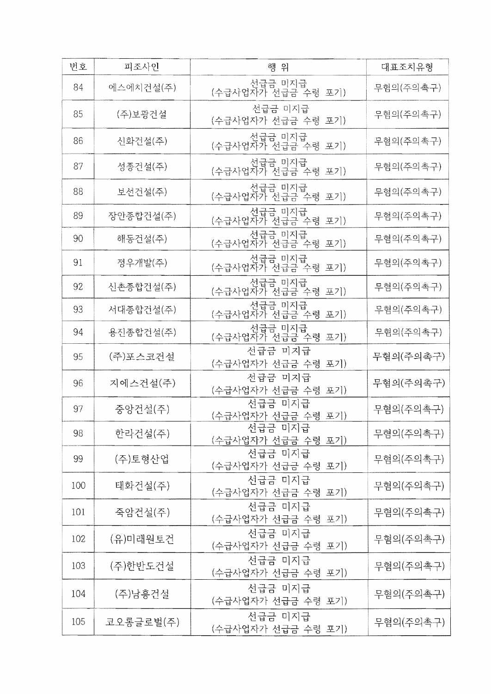| 버호  | 피조사인      | 행 위                           | 대표조치유형    |
|-----|-----------|-------------------------------|-----------|
| 84  | 에스에치건설(주) | 선급금 미지급<br>(수급사업자가 선급금 수령 포기) | 무혐의(주의촉구) |
| 85  | (주)보광건설   | 선급금 미지급<br>(수급사업자가 선급금 수령 포기) | 무혐의(주의촉구) |
| 86  | 신화건설(주)   | 선급금 미지급<br>(수급사업자가 선급금 수령 포기) | 무혐의(주의촉구) |
| 87  | 성종건설(주)   | 선급금 미지급<br>(수급사업자가 선급금 수령 포기) | 무혐의(주의촉구) |
| 88  | 보선건설(주)   | 선급금 미지급<br>(수급사업자가 선급금 수령 포기) | 무혐의(주의촉구) |
| 89  | 장안종합건설(주) | 선급금 미지급<br>(수급사업자가 선급금 수령 포기) | 무혐의(주의촉구) |
| 90  | 해동건설(주)   | 선급금 미지급<br>(수급사업자가 선급금 수령 포기) | 무혐의(주의촉구) |
| 91  | 정우개발(주)   | 선급금 미지급<br>(수급사업자가 선급금 수령 포기) | 무혐의(주의촉구) |
| 92  | 신촌종합건설(주) | 선급금 미지급<br>(수급사업자가 선급금 수령 포기) | 무혐의(주의촉구) |
| 93  | 서대종합건설(주) | 선급금 미지급<br>(수급사업자가 선급금 수령 포기) | 무혐의(주의촉구) |
| 94  | 용진종합건설(주) | 선급금 미지급<br>(수급사업자가 선급금 수령 포기) | 무혐의(주의촉구) |
| 95  | (주)포스코건설  | 선급금 미지급<br>(수급사업자가 선급금 수령 포기) | 무혐의(주의촉구) |
| 96  | 지에스건설(주)  | 선급금 미지급<br>(수급사업자가 선급금 수령 포기) | 무혐의(주의촉구) |
| 97  | 중앙건설(주)   | 선급금 미지급<br>(수급사업자가 선급금 수령 포기) | 무혐의(주의촉구) |
| 98  | 한라건설(주)   | 선급금 미지급<br>(수급사업자가 선급금 수령 포기) | 무혐의(주의촉구) |
| 99  | (주)토형산업   | 선급금 미지급<br>(수급사업자가 선급금 수령 포기) | 무혐의(주의촉구) |
| 100 | 태화건설(주)   | 선급금 미지급<br>(수급사업자가 선급금 수령 포기) | 무혐의(주의촉구) |
| 101 | 죽암건설(주)   | 선급금 미지급<br>(수급사업자가 선급금 수령 포기) | 무혐의(주의촉구) |
| 102 | (유)미래원토건  | 선급금 미지급<br>(수급사업자가 선급금 수령 포기) | 무혐의(주의촉구) |
| 103 | (주)한반도건설  | 선급금 미지급<br>(수급사업자가 선급금 수령 포기) | 무혐의(주의촉구) |
| 104 | (주)남흥건설   | 선급금 미지급<br>(수급사업자가 선급금 수령 포기) | 무혐의(주의촉구) |
| 105 | 코오롱글로벌(주) | 선급금 미지급<br>(수급사업자가 선급금 수령 포기) | 무혐의(주의촉구) |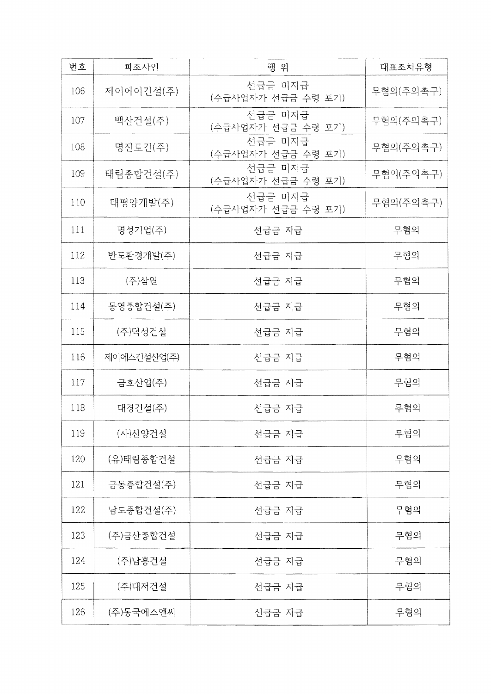| 번호  | 피조사인        | 행 위                           | 대표조치유형    |
|-----|-------------|-------------------------------|-----------|
| 106 | 제이에이건설(주)   | 선급금 미지급<br>(수급사업자가 선급금 수령 포기) | 무혐의(주의촉구) |
| 107 | 백산건설(주)     | 선급금 미지급<br>(수급사업자가 선급금 수령 포기) | 무혐의(주의촉구) |
| 108 | 명진토건(주)     | 선급금 미지급<br>(수급사업자가 선급금 수령 포기) | 무혐의(주의촉구) |
| 109 | 태림종합건설(주)   | 선급금 미지급<br>(수급사업자가 선급금 수령 포기) | 무혐의(주의촉구) |
| 110 | 태평양개발(주)    | 선급금 미지급<br>(수급사업자가 선급금 수령 포기) | 무혐의(주의촉구) |
| 111 | 명성기업(주)     | 선급금 지급                        | 무혐의       |
| 112 | 반도환경개발(주)   | 선급금 지급                        | 무혐의       |
| 113 | (주)삼원       | 선급금 지급                        | 무혐의       |
| 114 | 동영종합건설(주)   | 선급금 지급                        | 무혐의       |
| 115 | (주)덕성건설     | 선급금 지급                        | 무혐의       |
| 116 | 제이에스건설산업(주) | 선급금 지급                        | 무혐의       |
| 117 | 금호산업(주)     | 선급금 지급                        | 무혐의       |
| 118 | 대경건설(주)     | 선급금 지급                        | 무혐의       |
| 119 | (자)신양건설     | 선급금 지급                        | 무혐의       |
| 120 | (유)태림종합건설   | 선급금 지급                        | 무혐의       |
| 121 | 금동종합건설(주)   | 선급금 지급                        | 무혐의       |
| 122 | 남도종합건설(주)   | 선급금 지급                        | 무혐의       |
| 123 | (주)금산종합건설   | 선급금 지급                        | 무혐의       |
| 124 | (주)남흥건설     | 선급금 지급                        | 무혐의       |
| 125 | (주)대저건설     | 선급금 지급                        | 무혐의       |
| 126 | (주)동국에스엔씨   | 선급금 지급                        | 무혐의       |